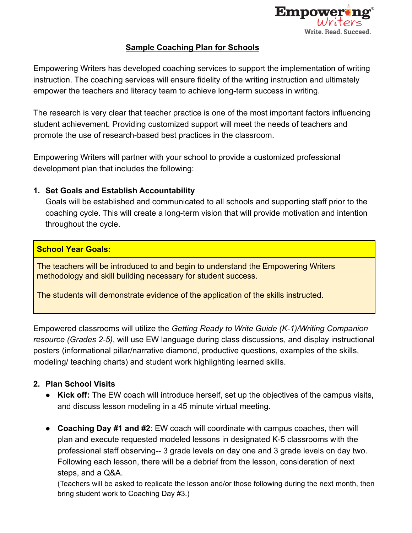

## **Sample Coaching Plan for Schools**

Empowering Writers has developed coaching services to support the implementation of writing instruction. The coaching services will ensure fidelity of the writing instruction and ultimately empower the teachers and literacy team to achieve long-term success in writing.

The research is very clear that teacher practice is one of the most important factors influencing student achievement. Providing customized support will meet the needs of teachers and promote the use of research-based best practices in the classroom.

Empowering Writers will partner with your school to provide a customized professional development plan that includes the following:

## **1. Set Goals and Establish Accountability**

Goals will be established and communicated to all schools and supporting staff prior to the coaching cycle. This will create a long-term vision that will provide motivation and intention throughout the cycle.

## **School Year Goals:**

The teachers will be introduced to and begin to understand the Empowering Writers methodology and skill building necessary for student success.

The students will demonstrate evidence of the application of the skills instructed.

Empowered classrooms will utilize the *Getting Ready to Write Guide (K-1)/Writing Companion resource (Grades 2-5)*, will use EW language during class discussions, and display instructional posters (informational pillar/narrative diamond, productive questions, examples of the skills, modeling/ teaching charts) and student work highlighting learned skills.

## **2. Plan School Visits**

- **Kick off:** The EW coach will introduce herself, set up the objectives of the campus visits, and discuss lesson modeling in a 45 minute virtual meeting.
- **Coaching Day #1 and #2**: EW coach will coordinate with campus coaches, then will plan and execute requested modeled lessons in designated K-5 classrooms with the professional staff observing-- 3 grade levels on day one and 3 grade levels on day two. Following each lesson, there will be a debrief from the lesson, consideration of next steps, and a Q&A.

(Teachers will be asked to replicate the lesson and/or those following during the next month, then bring student work to Coaching Day #3.)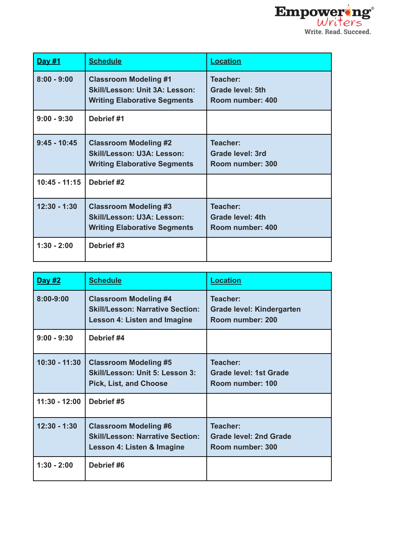

| Day #1          | <b>Schedule</b>                                                                                              | <b>Location</b>                                         |
|-----------------|--------------------------------------------------------------------------------------------------------------|---------------------------------------------------------|
| $8:00 - 9:00$   | <b>Classroom Modeling #1</b><br><b>Skill/Lesson: Unit 3A: Lesson:</b><br><b>Writing Elaborative Segments</b> | Teacher:<br><b>Grade level: 5th</b><br>Room number: 400 |
| $9:00 - 9:30$   | Debrief #1                                                                                                   |                                                         |
| $9:45 - 10:45$  | <b>Classroom Modeling #2</b><br>Skill/Lesson: U3A: Lesson:<br><b>Writing Elaborative Segments</b>            | Teacher:<br>Grade level: 3rd<br>Room number: 300        |
| $10:45 - 11:15$ | Debrief #2                                                                                                   |                                                         |
| $12:30 - 1:30$  | <b>Classroom Modeling #3</b><br>Skill/Lesson: U3A: Lesson:<br><b>Writing Elaborative Segments</b>            | Teacher:<br><b>Grade level: 4th</b><br>Room number: 400 |
| $1:30 - 2:00$   | Debrief #3                                                                                                   |                                                         |

| Day #2          | <b>Schedule</b>                                                                                         | <b>Location</b>                                               |
|-----------------|---------------------------------------------------------------------------------------------------------|---------------------------------------------------------------|
| $8:00 - 9:00$   | <b>Classroom Modeling #4</b><br><b>Skill/Lesson: Narrative Section:</b><br>Lesson 4: Listen and Imagine | Teacher:<br>Grade level: Kindergarten<br>Room number: 200     |
| $9:00 - 9:30$   | Debrief #4                                                                                              |                                                               |
| $10:30 - 11:30$ | <b>Classroom Modeling #5</b><br>Skill/Lesson: Unit 5: Lesson 3:<br><b>Pick, List, and Choose</b>        | Teacher:<br><b>Grade level: 1st Grade</b><br>Room number: 100 |
| $11:30 - 12:00$ | Debrief #5                                                                                              |                                                               |
| $12:30 - 1:30$  | <b>Classroom Modeling #6</b><br><b>Skill/Lesson: Narrative Section:</b><br>Lesson 4: Listen & Imagine   | Teacher:<br><b>Grade level: 2nd Grade</b><br>Room number: 300 |
| $1:30 - 2:00$   | Debrief #6                                                                                              |                                                               |